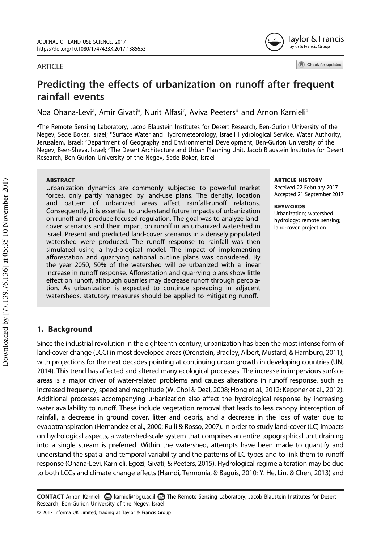# ARTICLE



(A) Check for updates

# Predicting the effects of urbanization on runoff after frequent rainfall events

Noa Ohana-Levi<sup>a</sup>, Amir Givati<sup>b</sup>, Nurit Alfasi<sup>c</sup>, Aviva Peeters<sup>d</sup> and Arnon Karnieli<sup>a</sup>

a The Remote Sensing Laboratory, Jacob Blaustein Institutes for Desert Research, Ben-Gurion University of the Negev, Sede Boker, Israel; <sup>b</sup>Surface Water and Hydrometeorology, Israeli Hydrological Service, Water Authority, Jerusalem, Israel; <sup>c</sup>Department of Geography and Environmental Development, Ben-Gurion University of the Negev, Beer-Sheva, Israel; <sup>d</sup>The Desert Architecture and Urban Planning Unit, Jacob Blaustein Institutes for Desert Research, Ben-Gurion University of the Negev, Sede Boker, Israel

#### ABSTRACT

Urbanization dynamics are commonly subjected to powerful market forces, only partly managed by land-use plans. The density, location and pattern of urbanized areas affect rainfall-runoff relations. Consequently, it is essential to understand future impacts of urbanization on runoff and produce focused regulation. The goal was to analyze landcover scenarios and their impact on runoff in an urbanized watershed in Israel. Present and predicted land-cover scenarios in a densely populated watershed were produced. The runoff response to rainfall was then simulated using a hydrological model. The impact of implementing afforestation and quarrying national outline plans was considered. By the year 2050, 50% of the watershed will be urbanized with a linear increase in runoff response. Afforestation and quarrying plans show little effect on runoff, although quarries may decrease runoff through percolation. As urbanization is expected to continue spreading in adjacent watersheds, statutory measures should be applied to mitigating runoff.

#### ARTICLE HISTORY

Received 22 February 2017 Accepted 21 September 2017

#### **KEYWORDS**

Urbanization; watershed hydrology; remote sensing; land-cover projection

# 1. Background

Since the industrial revolution in the eighteenth century, urbanization has been the most intense form of land-cover change (LCC) in most developed areas (Orenstein, Bradley, Albert, Mustard, & Hamburg, 2011), with projections for the next decades pointing at continuing urban growth in developing countries (UN, 2014). This trend has affected and altered many ecological processes. The increase in impervious surface areas is a major driver of water-related problems and causes alterations in runoff response, such as increased frequency, speed and magnitude (W. Choi & Deal, 2008; Hong et al., 2012; Keppner et al., 2012). Additional processes accompanying urbanization also affect the hydrological response by increasing water availability to runoff. These include vegetation removal that leads to less canopy interception of rainfall, a decrease in ground cover, litter and debris, and a decrease in the loss of water due to evapotranspiration (Hernandez et al., 2000; Rulli & Rosso, 2007). In order to study land-cover (LC) impacts on hydrological aspects, a watershed-scale system that comprises an entire topographical unit draining into a single stream is preferred. Within the watershed, attempts have been made to quantify and understand the spatial and temporal variability and the patterns of LC types and to link them to runoff response (Ohana-Levi, Karnieli, Egozi, Givati, & Peeters, 2015). Hydrological regime alteration may be due to both LCCs and climate change effects (Hamdi, Termonia, & Baguis, 2010; Y. He, Lin, & Chen, 2013) and

CONTACT Arnon Karnieli karnieli@bgu.ac.il The Remote Sensing Laboratory, Jacob Blaustein Institutes for Desert Research, Ben-Gurion University of the Negev, Israel

<sup>© 2017</sup> Informa UK Limited, trading as Taylor & Francis Group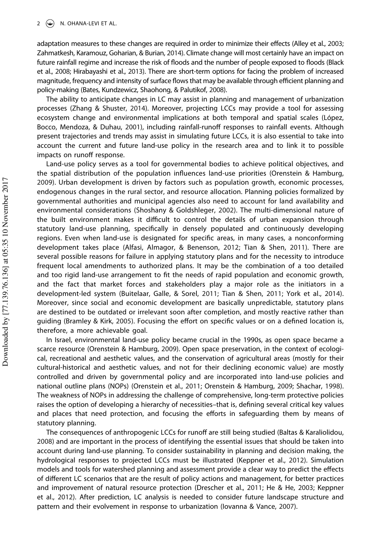adaptation measures to these changes are required in order to minimize their effects (Alley et al., 2003; Zahmatkesh, Karamouz, Goharian, & Burian, 2014). Climate change will most certainly have an impact on future rainfall regime and increase the risk of floods and the number of people exposed to floods (Black et al., 2008; Hirabayashi et al., 2013). There are short-term options for facing the problem of increased magnitude, frequency and intensity of surface flows that may be available through efficient planning and policy-making (Bates, Kundzewicz, Shaohong, & Palutikof, 2008).

The ability to anticipate changes in LC may assist in planning and management of urbanization processes (Zhang & Shuster, 2014). Moreover, projecting LCCs may provide a tool for assessing ecosystem change and environmental implications at both temporal and spatial scales (López, Bocco, Mendoza, & Duhau, 2001), including rainfall-runoff responses to rainfall events. Although present trajectories and trends may assist in simulating future LCCs, it is also essential to take into account the current and future land-use policy in the research area and to link it to possible impacts on runoff response.

Land-use policy serves as a tool for governmental bodies to achieve political objectives, and the spatial distribution of the population influences land-use priorities (Orenstein & Hamburg, 2009). Urban development is driven by factors such as population growth, economic processes, endogenous changes in the rural sector, and resource allocation. Planning policies formalized by governmental authorities and municipal agencies also need to account for land availability and environmental considerations (Shoshany & Goldshleger, 2002). The multi-dimensional nature of the built environment makes it difficult to control the details of urban expansion through statutory land-use planning, specifically in densely populated and continuously developing regions. Even when land-use is designated for specific areas, in many cases, a nonconforming development takes place (Alfasi, Almagor, & Benenson, 2012; Tian & Shen, 2011). There are several possible reasons for failure in applying statutory plans and for the necessity to introduce frequent local amendments to authorized plans. It may be the combination of a too detailed and too rigid land-use arrangement to fit the needs of rapid population and economic growth, and the fact that market forces and stakeholders play a major role as the initiators in a development-led system (Buitelaar, Galle, & Sorel, 2011; Tian & Shen, 2011; York et al., 2014). Moreover, since social and economic development are basically unpredictable, statutory plans are destined to be outdated or irrelevant soon after completion, and mostly reactive rather than guiding (Bramley & Kirk, 2005). Focusing the effort on specific values or on a defined location is, therefore, a more achievable goal.

In Israel, environmental land-use policy became crucial in the 1990s, as open space became a scarce resource (Orenstein & Hamburg, 2009). Open space preservation, in the context of ecological, recreational and aesthetic values, and the conservation of agricultural areas (mostly for their cultural-historical and aesthetic values, and not for their declining economic value) are mostly controlled and driven by governmental policy and are incorporated into land-use policies and national outline plans (NOPs) (Orenstein et al., 2011; Orenstein & Hamburg, 2009; Shachar, 1998). The weakness of NOPs in addressing the challenge of comprehensive, long-term protective policies raises the option of developing a hierarchy of necessities–that is, defining several critical key values and places that need protection, and focusing the efforts in safeguarding them by means of statutory planning.

The consequences of anthropogenic LCCs for runoff are still being studied (Baltas & Karaliolidou, 2008) and are important in the process of identifying the essential issues that should be taken into account during land-use planning. To consider sustainability in planning and decision making, the hydrological responses to projected LCCs must be illustrated (Keppner et al., 2012). Simulation models and tools for watershed planning and assessment provide a clear way to predict the effects of different LC scenarios that are the result of policy actions and management, for better practices and improvement of natural resource protection (Drescher et al., 2011; He & He, 2003; Keppner et al., 2012). After prediction, LC analysis is needed to consider future landscape structure and pattern and their evolvement in response to urbanization (Iovanna & Vance, 2007).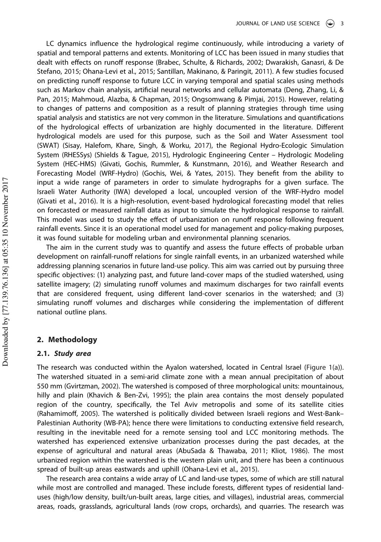LC dynamics influence the hydrological regime continuously, while introducing a variety of spatial and temporal patterns and extents. Monitoring of LCC has been issued in many studies that dealt with effects on runoff response (Brabec, Schulte, & Richards, 2002; Dwarakish, Ganasri, & De Stefano, 2015; Ohana-Levi et al., 2015; Santillan, Makinano, & Paringit, 2011). A few studies focused on predicting runoff response to future LCC in varying temporal and spatial scales using methods such as Markov chain analysis, artificial neural networks and cellular automata (Deng, Zhang, Li, & Pan, 2015; Mahmoud, Alazba, & Chapman, 2015; Ongsomwang & Pimjai, 2015). However, relating to changes of patterns and composition as a result of planning strategies through time using spatial analysis and statistics are not very common in the literature. Simulations and quantifications of the hydrological effects of urbanization are highly documented in the literature. Different hydrological models are used for this purpose, such as the Soil and Water Assessment tool (SWAT) (Sisay, Halefom, Khare, Singh, & Worku, 2017), the Regional Hydro-Ecologic Simulation System (RHESSys) (Shields & Tague, 2015), Hydrologic Engineering Center – Hydrologic Modeling System (HEC-HMS) (Givati, Gochis, Rummler, & Kunstmann, 2016), and Weather Research and Forecasting Model (WRF-Hydro) (Gochis, Wei, & Yates, 2015). They benefit from the ability to input a wide range of parameters in order to simulate hydrographs for a given surface. The Israeli Water Authority (IWA) developed a local, uncoupled version of the WRF-Hydro model (Givati et al., 2016). It is a high-resolution, event-based hydrological forecasting model that relies on forecasted or measured rainfall data as input to simulate the hydrological response to rainfall. This model was used to study the effect of urbanization on runoff response following frequent rainfall events. Since it is an operational model used for management and policy-making purposes, it was found suitable for modeling urban and environmental planning scenarios.

The aim in the current study was to quantify and assess the future effects of probable urban development on rainfall-runoff relations for single rainfall events, in an urbanized watershed while addressing planning scenarios in future land-use policy. This aim was carried out by pursuing three specific objectives: (1) analyzing past, and future land-cover maps of the studied watershed, using satellite imagery; (2) simulating runoff volumes and maximum discharges for two rainfall events that are considered frequent, using different land-cover scenarios in the watershed; and (3) simulating runoff volumes and discharges while considering the implementation of different national outline plans.

### 2. Methodology

#### 2.1. Study area

The research was conducted within the Ayalon watershed, located in Central Israel (Figure 1(a)). The watershed situated in a semi-arid climate zone with a mean annual precipitation of about 550 mm (Gvirtzman, 2002). The watershed is composed of three morphological units: mountainous, hilly and plain (Khavich & Ben-Zvi, 1995); the plain area contains the most densely populated region of the country, specifically, the Tel Aviv metropolis and some of its satellite cities (Rahamimoff, 2005). The watershed is politically divided between Israeli regions and West-Bank– Palestinian Authority (WB-PA); hence there were limitations to conducting extensive field research, resulting in the inevitable need for a remote sensing tool and LCC monitoring methods. The watershed has experienced extensive urbanization processes during the past decades, at the expense of agricultural and natural areas (AbuSada & Thawaba, 2011; Kliot, 1986). The most urbanized region within the watershed is the western plain unit, and there has been a continuous spread of built-up areas eastwards and uphill (Ohana-Levi et al., 2015).

The research area contains a wide array of LC and land-use types, some of which are still natural while most are controlled and managed. These include forests, different types of residential landuses (high/low density, built/un-built areas, large cities, and villages), industrial areas, commercial areas, roads, grasslands, agricultural lands (row crops, orchards), and quarries. The research was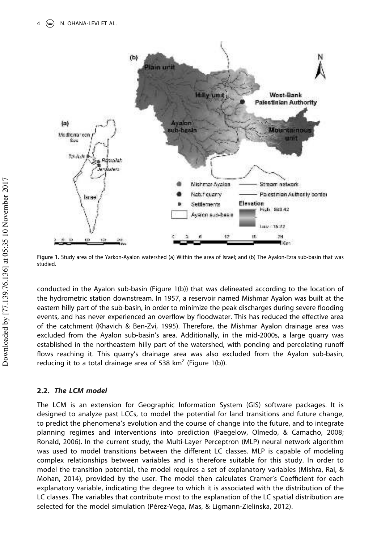

Figure 1. Study area of the Yarkon-Ayalon watershed (a) Within the area of Israel; and (b) The Ayalon-Ezra sub-basin that was studied.

conducted in the Ayalon sub-basin (Figure 1(b)) that was delineated according to the location of the hydrometric station downstream. In 1957, a reservoir named Mishmar Ayalon was built at the eastern hilly part of the sub-basin, in order to minimize the peak discharges during severe flooding events, and has never experienced an overflow by floodwater. This has reduced the effective area of the catchment (Khavich & Ben-Zvi, 1995). Therefore, the Mishmar Ayalon drainage area was excluded from the Ayalon sub-basin's area. Additionally, in the mid-2000s, a large quarry was established in the northeastern hilly part of the watershed, with ponding and percolating runoff flows reaching it. This quarry's drainage area was also excluded from the Ayalon sub-basin, reducing it to a total drainage area of 538  $km^2$  (Figure 1(b)).

# 2.2. The LCM model

The LCM is an extension for Geographic Information System (GIS) software packages. It is designed to analyze past LCCs, to model the potential for land transitions and future change, to predict the phenomena's evolution and the course of change into the future, and to integrate planning regimes and interventions into prediction (Paegelow, Olmedo, & Camacho, 2008; Ronald, 2006). In the current study, the Multi-Layer Perceptron (MLP) neural network algorithm was used to model transitions between the different LC classes. MLP is capable of modeling complex relationships between variables and is therefore suitable for this study. In order to model the transition potential, the model requires a set of explanatory variables (Mishra, Rai, & Mohan, 2014), provided by the user. The model then calculates Cramer's Coefficient for each explanatory variable, indicating the degree to which it is associated with the distribution of the LC classes. The variables that contribute most to the explanation of the LC spatial distribution are selected for the model simulation (Pérez-Vega, Mas, & Ligmann-Zielinska, 2012).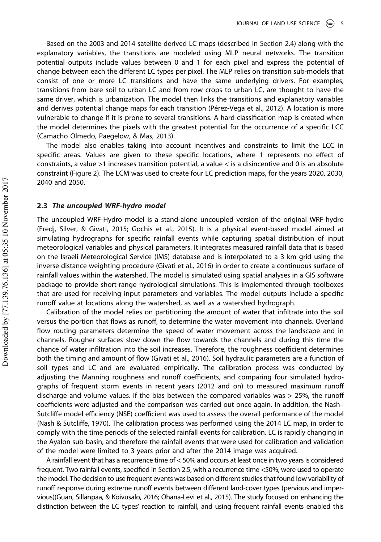Based on the 2003 and 2014 satellite-derived LC maps (described in Section 2.4) along with the explanatory variables, the transitions are modeled using MLP neural networks. The transition potential outputs include values between 0 and 1 for each pixel and express the potential of change between each the different LC types per pixel. The MLP relies on transition sub-models that consist of one or more LC transitions and have the same underlying drivers. For examples, transitions from bare soil to urban LC and from row crops to urban LC, are thought to have the same driver, which is urbanization. The model then links the transitions and explanatory variables and derives potential change maps for each transition (Pérez-Vega et al., 2012). A location is more vulnerable to change if it is prone to several transitions. A hard-classification map is created when the model determines the pixels with the greatest potential for the occurrence of a specific LCC (Camacho Olmedo, Paegelow, & Mas, 2013).

The model also enables taking into account incentives and constraints to limit the LCC in specific areas. Values are given to these specific locations, where 1 represents no effect of constraints, a value >1 increases transition potential, a value < is a disincentive and 0 is an absolute constraint (Figure 2). The LCM was used to create four LC prediction maps, for the years 2020, 2030, 2040 and 2050.

#### 2.3 The uncoupled WRF-hydro model

The uncoupled WRF-Hydro model is a stand-alone uncoupled version of the original WRF-hydro (Fredj, Silver, & Givati, 2015; Gochis et al., 2015). It is a physical event-based model aimed at simulating hydrographs for specific rainfall events while capturing spatial distribution of input meteorological variables and physical parameters. It integrates measured rainfall data that is based on the Israeli Meteorological Service (IMS) database and is interpolated to a 3 km grid using the inverse distance weighting procedure (Givati et al., 2016) in order to create a continuous surface of rainfall values within the watershed. The model is simulated using spatial analyses in a GIS software package to provide short-range hydrological simulations. This is implemented through toolboxes that are used for receiving input parameters and variables. The model outputs include a specific runoff value at locations along the watershed, as well as a watershed hydrograph.

Calibration of the model relies on partitioning the amount of water that infiltrate into the soil versus the portion that flows as runoff, to determine the water movement into channels. Overland flow routing parameters determine the speed of water movement across the landscape and in channels. Rougher surfaces slow down the flow towards the channels and during this time the chance of water infiltration into the soil increases. Therefore, the roughness coefficient determines both the timing and amount of flow (Givati et al., 2016). Soil hydraulic parameters are a function of soil types and LC and are evaluated empirically. The calibration process was conducted by adjusting the Manning roughness and runoff coefficients, and comparing four simulated hydrographs of frequent storm events in recent years (2012 and on) to measured maximum runoff discharge and volume values. If the bias between the compared variables was > 25%, the runoff coefficients were adjusted and the comparison was carried out once again. In addition, the Nash– Sutcliffe model efficiency (NSE) coefficient was used to assess the overall performance of the model (Nash & Sutcliffe, 1970). The calibration process was performed using the 2014 LC map, in order to comply with the time periods of the selected rainfall events for calibration. LC is rapidly changing in the Ayalon sub-basin, and therefore the rainfall events that were used for calibration and validation of the model were limited to 3 years prior and after the 2014 image was acquired.

A rainfall event that has a recurrence time of < 50% and occurs at least once in two years is considered frequent. Two rainfall events, specified in Section 2.5, with a recurrence time <50%, were used to operate the model. The decision to use frequent events was based on different studies that found low variability of runoff response during extreme runoff events between different land-cover types (pervious and impervious)(Guan, Sillanpaa, & Koivusalo, 2016; Ohana-Levi et al., 2015). The study focused on enhancing the distinction between the LC types' reaction to rainfall, and using frequent rainfall events enabled this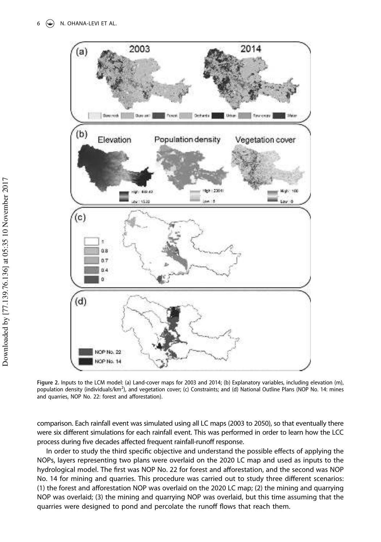

Figure 2. Inputs to the LCM model: (a) Land-cover maps for 2003 and 2014; (b) Explanatory variables, including elevation (m), population density (individuals/km<sup>2</sup>), and vegetation cover; (c) Constraints; and (d) National Outline Plans (NOP No. 14: mines and quarries, NOP No. 22: forest and afforestation).

comparison. Each rainfall event was simulated using all LC maps (2003 to 2050), so that eventually there were six different simulations for each rainfall event. This was performed in order to learn how the LCC process during five decades affected frequent rainfall-runoff response.

In order to study the third specific objective and understand the possible effects of applying the NOPs, layers representing two plans were overlaid on the 2020 LC map and used as inputs to the hydrological model. The first was NOP No. 22 for forest and afforestation, and the second was NOP No. 14 for mining and quarries. This procedure was carried out to study three different scenarios: (1) the forest and afforestation NOP was overlaid on the 2020 LC map; (2) the mining and quarrying NOP was overlaid; (3) the mining and quarrying NOP was overlaid, but this time assuming that the quarries were designed to pond and percolate the runoff flows that reach them.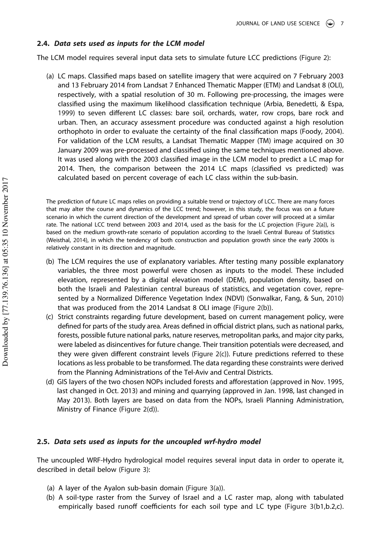# 2.4. Data sets used as inputs for the LCM model

The LCM model requires several input data sets to simulate future LCC predictions (Figure 2):

(a) LC maps. Classified maps based on satellite imagery that were acquired on 7 February 2003 and 13 February 2014 from Landsat 7 Enhanced Thematic Mapper (ETM) and Landsat 8 (OLI), respectively, with a spatial resolution of 30 m. Following pre-processing, the images were classified using the maximum likelihood classification technique (Arbia, Benedetti, & Espa, 1999) to seven different LC classes: bare soil, orchards, water, row crops, bare rock and urban. Then, an accuracy assessment procedure was conducted against a high resolution orthophoto in order to evaluate the certainty of the final classification maps (Foody, 2004). For validation of the LCM results, a Landsat Thematic Mapper (TM) image acquired on 30 January 2009 was pre-processed and classified using the same techniques mentioned above. It was used along with the 2003 classified image in the LCM model to predict a LC map for 2014. Then, the comparison between the 2014 LC maps (classified vs predicted) was calculated based on percent coverage of each LC class within the sub-basin.

The prediction of future LC maps relies on providing a suitable trend or trajectory of LCC. There are many forces that may alter the course and dynamics of the LCC trend; however, in this study, the focus was on a future scenario in which the current direction of the development and spread of urban cover will proceed at a similar rate. The national LCC trend between 2003 and 2014, used as the basis for the LC projection (Figure 2(a)), is based on the medium growth-rate scenario of population according to the Israeli Central Bureau of Statistics (Weisthal, 2014), in which the tendency of both construction and population growth since the early 2000s is relatively constant in its direction and magnitude.

- (b) The LCM requires the use of explanatory variables. After testing many possible explanatory variables, the three most powerful were chosen as inputs to the model. These included elevation, represented by a digital elevation model (DEM), population density, based on both the Israeli and Palestinian central bureaus of statistics, and vegetation cover, represented by a Normalized Difference Vegetation Index (NDVI) (Sonwalkar, Fang, & Sun, 2010) that was produced from the 2014 Landsat 8 OLI image (Figure 2(b)).
- (c) Strict constraints regarding future development, based on current management policy, were defined for parts of the study area. Areas defined in official district plans, such as national parks, forests, possible future national parks, nature reserves, metropolitan parks, and major city parks, were labeled as disincentives for future change. Their transition potentials were decreased, and they were given different constraint levels (Figure 2(c)). Future predictions referred to these locations as less probable to be transformed. The data regarding these constraints were derived from the Planning Administrations of the Tel-Aviv and Central Districts.
- (d) GIS layers of the two chosen NOPs included forests and afforestation (approved in Nov. 1995, last changed in Oct. 2013) and mining and quarrying (approved in Jan. 1998, last changed in May 2013). Both layers are based on data from the NOPs, Israeli Planning Administration, Ministry of Finance (Figure 2(d)).

# 2.5. Data sets used as inputs for the uncoupled wrf-hydro model

The uncoupled WRF-Hydro hydrological model requires several input data in order to operate it, described in detail below (Figure 3):

- (a) A layer of the Ayalon sub-basin domain (Figure 3(a)).
- (b) A soil-type raster from the Survey of Israel and a LC raster map, along with tabulated empirically based runoff coefficients for each soil type and LC type (Figure 3(b1,b.2,c).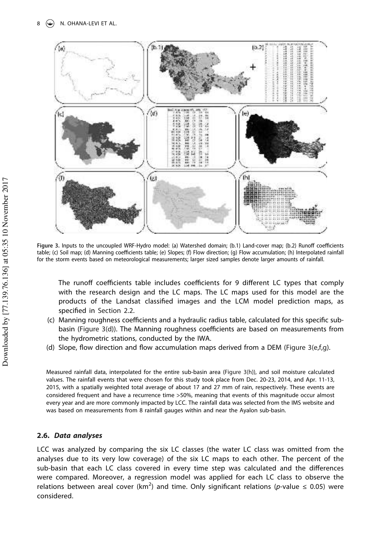

Figure 3. Inputs to the uncoupled WRF-Hydro model: (a) Watershed domain; (b.1) Land-cover map; (b.2) Runoff coefficients table; (c) Soil map; (d) Manning coefficients table; (e) Slopes; (f) Flow direction; (g) Flow accumulation; (h) Interpolated rainfall for the storm events based on meteorological measurements; larger sized samples denote larger amounts of rainfall.

The runoff coefficients table includes coefficients for 9 different LC types that comply with the research design and the LC maps. The LC maps used for this model are the products of the Landsat classified images and the LCM model prediction maps, as specified in Section 2.2.

- (c) Manning roughness coefficients and a hydraulic radius table, calculated for this specific subbasin (Figure 3(d)). The Manning roughness coefficients are based on measurements from the hydrometric stations, conducted by the IWA.
- (d) Slope, flow direction and flow accumulation maps derived from a DEM (Figure 3(e,f,g).

Measured rainfall data, interpolated for the entire sub-basin area (Figure 3(h)), and soil moisture calculated values. The rainfall events that were chosen for this study took place from Dec. 20-23, 2014, and Apr. 11-13, 2015, with a spatially weighted total average of about 17 and 27 mm of rain, respectively. These events are considered frequent and have a recurrence time >50%, meaning that events of this magnitude occur almost every year and are more commonly impacted by LCC. The rainfall data was selected from the IMS website and was based on measurements from 8 rainfall gauges within and near the Ayalon sub-basin.

### 2.6. Data analyses

LCC was analyzed by comparing the six LC classes (the water LC class was omitted from the analyses due to its very low coverage) of the six LC maps to each other. The percent of the sub-basin that each LC class covered in every time step was calculated and the differences were compared. Moreover, a regression model was applied for each LC class to observe the relations between areal cover (km<sup>2</sup>) and time. Only significant relations (p-value  $\leq$  0.05) were considered.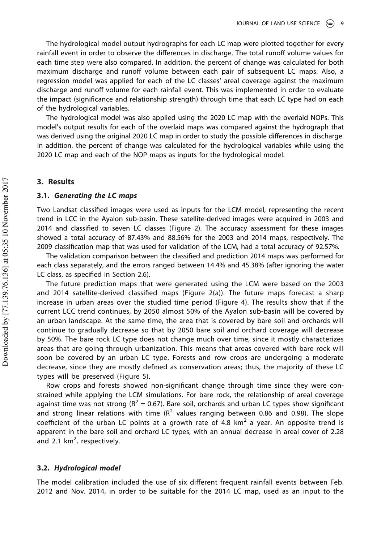The hydrological model output hydrographs for each LC map were plotted together for every rainfall event in order to observe the differences in discharge. The total runoff volume values for each time step were also compared. In addition, the percent of change was calculated for both maximum discharge and runoff volume between each pair of subsequent LC maps. Also, a regression model was applied for each of the LC classes' areal coverage against the maximum discharge and runoff volume for each rainfall event. This was implemented in order to evaluate the impact (significance and relationship strength) through time that each LC type had on each of the hydrological variables.

The hydrological model was also applied using the 2020 LC map with the overlaid NOPs. This model's output results for each of the overlaid maps was compared against the hydrograph that was derived using the original 2020 LC map in order to study the possible differences in discharge. In addition, the percent of change was calculated for the hydrological variables while using the 2020 LC map and each of the NOP maps as inputs for the hydrological model.

#### 3. Results

# 3.1. Generating the LC maps

Two Landsat classified images were used as inputs for the LCM model, representing the recent trend in LCC in the Ayalon sub-basin. These satellite-derived images were acquired in 2003 and 2014 and classified to seven LC classes (Figure 2). The accuracy assessment for these images showed a total accuracy of 87.43% and 88.56% for the 2003 and 2014 maps, respectively. The 2009 classification map that was used for validation of the LCM, had a total accuracy of 92.57%.

The validation comparison between the classified and prediction 2014 maps was performed for each class separately, and the errors ranged between 14.4% and 45.38% (after ignoring the water LC class, as specified in Section 2.6).

The future prediction maps that were generated using the LCM were based on the 2003 and 2014 satellite-derived classified maps (Figure 2(a)). The future maps forecast a sharp increase in urban areas over the studied time period (Figure 4). The results show that if the current LCC trend continues, by 2050 almost 50% of the Ayalon sub-basin will be covered by an urban landscape. At the same time, the area that is covered by bare soil and orchards will continue to gradually decrease so that by 2050 bare soil and orchard coverage will decrease by 50%. The bare rock LC type does not change much over time, since it mostly characterizes areas that are going through urbanization. This means that areas covered with bare rock will soon be covered by an urban LC type. Forests and row crops are undergoing a moderate decrease, since they are mostly defined as conservation areas; thus, the majority of these LC types will be preserved (Figure 5).

Row crops and forests showed non-significant change through time since they were constrained while applying the LCM simulations. For bare rock, the relationship of areal coverage against time was not strong ( $R^2 = 0.67$ ). Bare soil, orchards and urban LC types show significant and strong linear relations with time  $(R^2$  values ranging between 0.86 and 0.98). The slope coefficient of the urban LC points at a growth rate of 4.8  $km^2$  a year. An opposite trend is apparent in the bare soil and orchard LC types, with an annual decrease in areal cover of 2.28 and 2.1 km<sup>2</sup>, respectively.

#### 3.2. Hydrological model

The model calibration included the use of six different frequent rainfall events between Feb. 2012 and Nov. 2014, in order to be suitable for the 2014 LC map, used as an input to the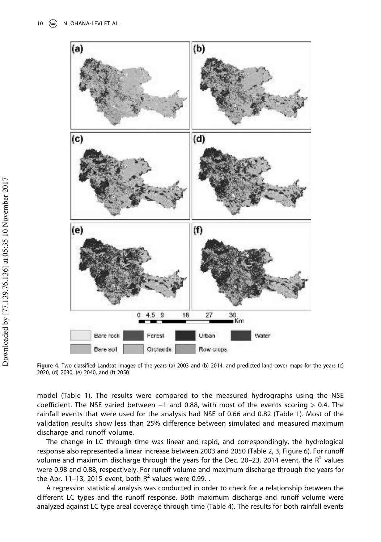

Figure 4. Two classified Landsat images of the years (a) 2003 and (b) 2014, and predicted land-cover maps for the years (c) 2020, (d) 2030, (e) 2040, and (f) 2050.

model (Table 1). The results were compared to the measured hydrographs using the NSE coefficient. The NSE varied between −1 and 0.88, with most of the events scoring > 0.4. The rainfall events that were used for the analysis had NSE of 0.66 and 0.82 (Table 1). Most of the validation results show less than 25% difference between simulated and measured maximum discharge and runoff volume.

The change in LC through time was linear and rapid, and correspondingly, the hydrological response also represented a linear increase between 2003 and 2050 (Table 2, 3, Figure 6). For runoff volume and maximum discharge through the years for the Dec. 20–23, 2014 event, the  $R^2$  values were 0.98 and 0.88, respectively. For runoff volume and maximum discharge through the years for the Apr. 11–13, 2015 event, both  $R^2$  values were 0.99. .

A regression statistical analysis was conducted in order to check for a relationship between the different LC types and the runoff response. Both maximum discharge and runoff volume were analyzed against LC type areal coverage through time (Table 4). The results for both rainfall events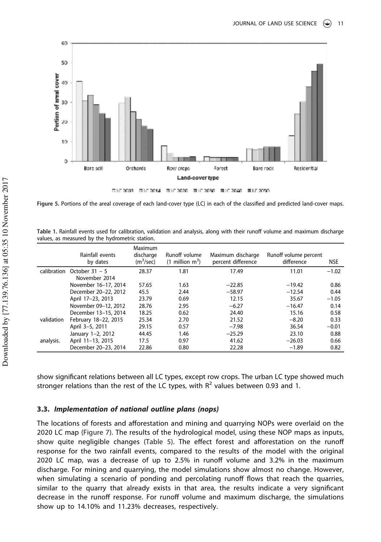

Figure 5. Portions of the areal coverage of each land-cover type (LC) in each of the classified and predicted land-cover maps.

Table 1. Rainfall events used for calibration, validation and analysis, along with their runoff volume and maximum discharge values, as measured by the hydrometric station.

|             | Rainfall events<br>by dates | Maximum<br>discharge<br>$(m^3/sec)$ | Runoff volume<br>$(1$ million m <sup>3</sup> ) | Maximum discharge<br>percent difference | Runoff volume percent<br>difference | <b>NSE</b> |
|-------------|-----------------------------|-------------------------------------|------------------------------------------------|-----------------------------------------|-------------------------------------|------------|
| calibration | October $31 - 5$            | 28.37                               | 1.81                                           | 17.49                                   | 11.01                               | $-1.02$    |
|             | November 2014               |                                     |                                                |                                         |                                     |            |
|             | November 16-17, 2014        | 57.65                               | 1.63                                           | $-22.85$                                | $-19.42$                            | 0.86       |
|             | December 20-22, 2012        | 45.5                                | 2.44                                           | $-58.97$                                | $-12.54$                            | 0.44       |
|             | April 17-23, 2013           | 23.79                               | 0.69                                           | 12.15                                   | 35.67                               | $-1.05$    |
|             | November 09-12, 2012        | 28.76                               | 2.95                                           | $-6.27$                                 | $-16.47$                            | 0.14       |
|             | December 13-15, 2014        | 18.25                               | 0.62                                           | 24.40                                   | 15.16                               | 0.58       |
| validation  | February 18-22, 2015        | 25.34                               | 2.70                                           | 21.52                                   | $-8.20$                             | 0.33       |
|             | April 3-5, 2011             | 29.15                               | 0.57                                           | $-7.98$                                 | 36.54                               | $-0.01$    |
|             | January 1-2, 2012           | 44.45                               | 1.46                                           | $-25.29$                                | 23.10                               | 0.88       |
| analysis.   | April 11-13, 2015           | 17.5                                | 0.97                                           | 41.62                                   | $-26.03$                            | 0.66       |
|             | December 20-23, 2014        | 22.86                               | 0.80                                           | 22.28                                   | $-1.89$                             | 0.82       |

show significant relations between all LC types, except row crops. The urban LC type showed much stronger relations than the rest of the LC types, with  $R^2$  values between 0.93 and 1.

### 3.3. Implementation of national outline plans (nops)

The locations of forests and afforestation and mining and quarrying NOPs were overlaid on the 2020 LC map (Figure 7). The results of the hydrological model, using these NOP maps as inputs, show quite negligible changes (Table 5). The effect forest and afforestation on the runoff response for the two rainfall events, compared to the results of the model with the original 2020 LC map, was a decrease of up to 2.5% in runoff volume and 3.2% in the maximum discharge. For mining and quarrying, the model simulations show almost no change. However, when simulating a scenario of ponding and percolating runoff flows that reach the quarries, similar to the quarry that already exists in that area, the results indicate a very significant decrease in the runoff response. For runoff volume and maximum discharge, the simulations show up to 14.10% and 11.23% decreases, respectively.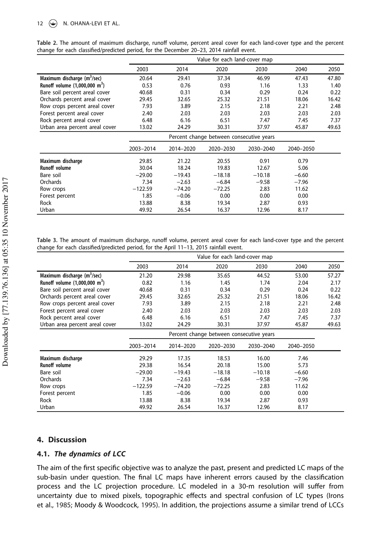|  |  | Table 2. The amount of maximum discharge, runoff volume, percent areal cover for each land-cover type and the percent |  |  |  |  |  |  |
|--|--|-----------------------------------------------------------------------------------------------------------------------|--|--|--|--|--|--|
|  |  | change for each classified/predicted period, for the December 20-23, 2014 rainfall event.                             |  |  |  |  |  |  |

|                                           | Value for each land-cover map            |           |           |           |           |       |  |  |  |  |  |
|-------------------------------------------|------------------------------------------|-----------|-----------|-----------|-----------|-------|--|--|--|--|--|
|                                           | 2003                                     | 2014      | 2020      | 2030      | 2040      | 2050  |  |  |  |  |  |
| Maximum discharge (m <sup>3</sup> /sec)   | 20.64                                    | 29.41     | 37.34     | 46.99     | 47.43     | 47.80 |  |  |  |  |  |
| Runoff volume (1,000,000 m <sup>3</sup> ) | 0.53                                     | 0.76      | 0.93      | 1.16      | 1.33      | 1.40  |  |  |  |  |  |
| Bare soil percent areal cover             | 40.68                                    | 0.31      | 0.34      | 0.29      | 0.24      | 0.22  |  |  |  |  |  |
| Orchards percent areal cover              | 29.45                                    | 32.65     | 25.32     | 21.51     | 18.06     | 16.42 |  |  |  |  |  |
| Row crops percent areal cover             | 7.93                                     | 3.89      | 2.15      | 2.18      | 2.21      | 2.48  |  |  |  |  |  |
| Forest percent areal cover                | 2.40                                     | 2.03      | 2.03      | 2.03      | 2.03      | 2.03  |  |  |  |  |  |
| Rock percent areal cover                  | 6.48                                     | 6.16      | 6.51      | 7.47      | 7.45      | 7.37  |  |  |  |  |  |
| Urban area percent areal cover            | 13.02                                    | 24.29     | 30.31     | 37.97     | 45.87     | 49.63 |  |  |  |  |  |
|                                           | Percent change between consecutive years |           |           |           |           |       |  |  |  |  |  |
|                                           | 2003-2014                                | 2014-2020 | 2020-2030 | 2030-2040 | 2040-2050 |       |  |  |  |  |  |
| Maximum discharge                         | 29.85                                    | 21.22     | 20.55     | 0.91      | 0.79      |       |  |  |  |  |  |
| <b>Runoff volume</b>                      | 30.04                                    | 18.24     | 19.83     | 12.67     | 5.06      |       |  |  |  |  |  |
| Bare soil                                 | $-29.00$                                 | $-19.43$  | $-18.18$  | $-10.18$  | $-6.60$   |       |  |  |  |  |  |
| Orchards                                  | 7.34                                     | $-2.63$   | $-6.84$   | $-9.58$   | $-7.96$   |       |  |  |  |  |  |
| Row crops                                 | $-122.59$                                | $-74.20$  | $-72.25$  | 2.83      | 11.62     |       |  |  |  |  |  |
| Forest percent                            | 1.85                                     | $-0.06$   | 0.00      | 0.00      | 0.00      |       |  |  |  |  |  |
| Rock                                      | 13.88                                    | 8.38      | 19.34     | 2.87      | 0.93      |       |  |  |  |  |  |
| Urban                                     | 49.92                                    | 26.54     | 16.37     | 12.96     | 8.17      |       |  |  |  |  |  |

Table 3. The amount of maximum discharge, runoff volume, percent areal cover for each land-cover type and the percent change for each classified/predicted period, for the April 11–13, 2015 rainfall event.

|                                           |           | Value for each land-cover map |                                          |           |           |       |  |  |  |  |  |
|-------------------------------------------|-----------|-------------------------------|------------------------------------------|-----------|-----------|-------|--|--|--|--|--|
|                                           | 2003      | 2014                          | 2020                                     | 2030      | 2040      | 2050  |  |  |  |  |  |
| Maximum discharge (m <sup>3</sup> /sec)   | 21.20     | 29.98                         | 35.65                                    | 44.52     | 53.00     | 57.27 |  |  |  |  |  |
| Runoff volume (1,000,000 m <sup>3</sup> ) | 0.82      | 1.16                          | 1.45                                     | 1.74      | 2.04      | 2.17  |  |  |  |  |  |
| Bare soil percent areal cover             | 40.68     | 0.31                          | 0.34                                     | 0.29      | 0.24      | 0.22  |  |  |  |  |  |
| Orchards percent areal cover              | 29.45     | 32.65                         | 25.32                                    | 21.51     | 18.06     | 16.42 |  |  |  |  |  |
| Row crops percent areal cover             | 7.93      | 3.89                          | 2.15                                     | 2.18      | 2.21      | 2.48  |  |  |  |  |  |
| Forest percent areal cover                | 2.40      | 2.03                          | 2.03                                     | 2.03      | 2.03      | 2.03  |  |  |  |  |  |
| Rock percent areal cover                  | 6.48      | 6.16                          | 6.51                                     | 7.47      | 7.45      | 7.37  |  |  |  |  |  |
| Urban area percent areal cover            | 13.02     | 24.29                         | 30.31                                    | 37.97     | 45.87     | 49.63 |  |  |  |  |  |
|                                           |           |                               | Percent change between consecutive years |           |           |       |  |  |  |  |  |
|                                           | 2003-2014 | 2014-2020                     | 2020-2030                                | 2030-2040 | 2040-2050 |       |  |  |  |  |  |
| Maximum discharge                         | 29.29     | 17.35                         | 18.53                                    | 16.00     | 7.46      |       |  |  |  |  |  |
| <b>Runoff volume</b>                      | 29.38     | 16.54                         | 20.18                                    | 15.00     | 5.73      |       |  |  |  |  |  |
| Bare soil                                 | $-29.00$  | $-19.43$                      | $-18.18$                                 | $-10.18$  | $-6.60$   |       |  |  |  |  |  |
| Orchards                                  | 7.34      | $-2.63$                       | $-6.84$                                  | $-9.58$   | $-7.96$   |       |  |  |  |  |  |
| Row crops                                 | $-122.59$ | $-74.20$                      | $-72.25$                                 | 2.83      | 11.62     |       |  |  |  |  |  |
| Forest percent                            | 1.85      | $-0.06$                       | 0.00                                     | 0.00      | 0.00      |       |  |  |  |  |  |
| Rock                                      | 13.88     | 8.38                          | 19.34                                    | 2.87      | 0.93      |       |  |  |  |  |  |
| Urban                                     | 49.92     | 26.54                         | 16.37                                    | 12.96     | 8.17      |       |  |  |  |  |  |

# 4. Discussion

# 4.1. The dynamics of LCC

The aim of the first specific objective was to analyze the past, present and predicted LC maps of the sub-basin under question. The final LC maps have inherent errors caused by the classification process and the LC projection procedure. LC modeled in a 30-m resolution will suffer from uncertainty due to mixed pixels, topographic effects and spectral confusion of LC types (Irons et al., 1985; Moody & Woodcock, 1995). In addition, the projections assume a similar trend of LCCs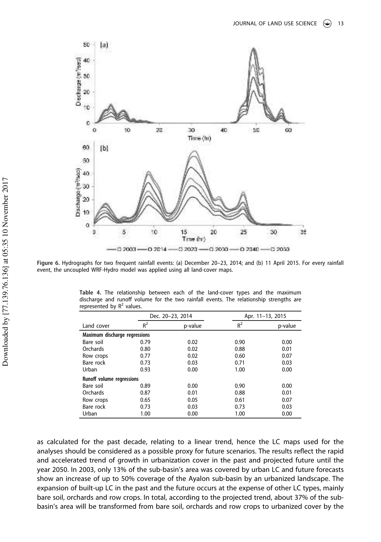

Figure 6. Hydrographs for two frequent rainfall events: (a) December 20–23, 2014; and (b) 11 April 2015. For every rainfall event, the uncoupled WRF-Hydro model was applied using all land-cover maps.

|                               |       | Dec. 20-23, 2014 |       | Apr. 11-13, 2015 |
|-------------------------------|-------|------------------|-------|------------------|
| Land cover                    | $R^2$ | p-value          | $R^2$ | p-value          |
| Maximum discharge regressions |       |                  |       |                  |
| Bare soil                     | 0.79  | 0.02             | 0.90  | 0.00             |
| Orchards                      | 0.80  | 0.02             | 0.88  | 0.01             |
| Row crops                     | 0.77  | 0.02             | 0.60  | 0.07             |
| Bare rock                     | 0.73  | 0.03             | 0.71  | 0.03             |
| Urban                         | 0.93  | 0.00             | 1.00  | 0.00             |
| Runoff volume regressions     |       |                  |       |                  |
| Bare soil                     | 0.89  | 0.00             | 0.90  | 0.00             |
| Orchards                      | 0.87  | 0.01             | 0.88  | 0.01             |
| Row crops                     | 0.65  | 0.05             | 0.61  | 0.07             |
| Bare rock                     | 0.73  | 0.03             | 0.73  | 0.03             |
| Urban                         | 1.00  | 0.00             | 1.00  | 0.00             |

|  |                              |  |  |  | Table 4. The relationship between each of the land-cover types and the maximum          |  |  |  |
|--|------------------------------|--|--|--|-----------------------------------------------------------------------------------------|--|--|--|
|  |                              |  |  |  | discharge and runoff volume for the two rainfall events. The relationship strengths are |  |  |  |
|  | represented by $R^2$ values. |  |  |  |                                                                                         |  |  |  |

as calculated for the past decade, relating to a linear trend, hence the LC maps used for the analyses should be considered as a possible proxy for future scenarios. The results reflect the rapid and accelerated trend of growth in urbanization cover in the past and projected future until the year 2050. In 2003, only 13% of the sub-basin's area was covered by urban LC and future forecasts show an increase of up to 50% coverage of the Ayalon sub-basin by an urbanized landscape. The expansion of built-up LC in the past and the future occurs at the expense of other LC types, mainly bare soil, orchards and row crops. In total, according to the projected trend, about 37% of the subbasin's area will be transformed from bare soil, orchards and row crops to urbanized cover by the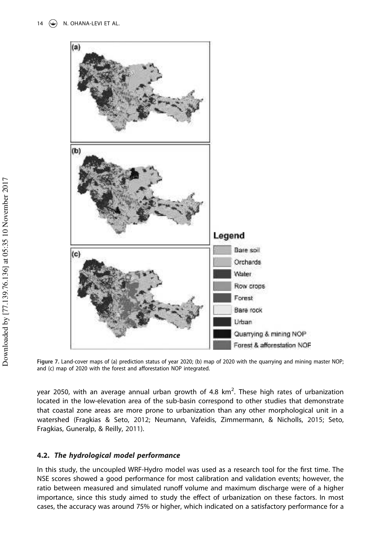

Figure 7. Land-cover maps of (a) prediction status of year 2020; (b) map of 2020 with the quarrying and mining master NOP; and (c) map of 2020 with the forest and afforestation NOP integrated.

year 2050, with an average annual urban growth of 4.8  $km^2$ . These high rates of urbanization located in the low-elevation area of the sub-basin correspond to other studies that demonstrate that coastal zone areas are more prone to urbanization than any other morphological unit in a watershed (Fragkias & Seto, 2012; Neumann, Vafeidis, Zimmermann, & Nicholls, 2015; Seto, Fragkias, Guneralp, & Reilly, 2011).

# 4.2. The hydrological model performance

In this study, the uncoupled WRF-Hydro model was used as a research tool for the first time. The NSE scores showed a good performance for most calibration and validation events; however, the ratio between measured and simulated runoff volume and maximum discharge were of a higher importance, since this study aimed to study the effect of urbanization on these factors. In most cases, the accuracy was around 75% or higher, which indicated on a satisfactory performance for a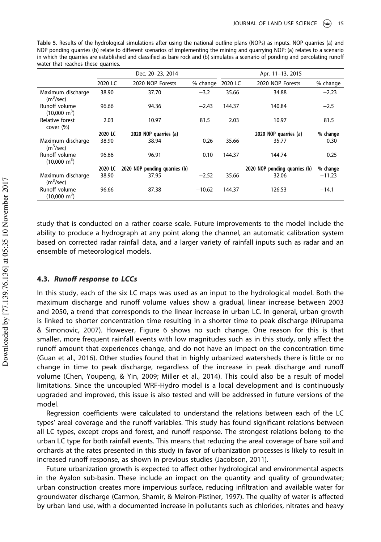Table 5. Results of the hydrological simulations after using the national outline plans (NOPs) as inputs. NOP quarries (a) and NOP ponding quarries (b) relate to different scenarios of implementing the mining and quarrying NOP: (a) relates to a scenario in which the quarries are established and classified as bare rock and (b) simulates a scenario of ponding and percolating runoff water that reaches these quarries.

|                                         |         | Dec. 20-23, 2014              |          | Apr. 11-13, 2015 |                               |          |  |  |
|-----------------------------------------|---------|-------------------------------|----------|------------------|-------------------------------|----------|--|--|
|                                         | 2020 LC | 2020 NOP Forests              | % change | 2020 LC          | 2020 NOP Forests              | % change |  |  |
| Maximum discharge<br>$(m^3/sec)$        | 38.90   | 37.70                         | $-3.2$   | 35.66            | 34.88                         | $-2.23$  |  |  |
| Runoff volume<br>$(10.000 \text{ m}^3)$ | 96.66   | 94.36                         | $-2.43$  | 144.37           | 140.84                        | $-2.5$   |  |  |
| Relative forest<br>cover (%)            | 2.03    | 10.97                         | 81.5     | 2.03             | 10.97                         | 81.5     |  |  |
|                                         | 2020 LC | 2020 NOP quarries (a)         |          |                  | 2020 NOP quarries (a)         | % change |  |  |
| Maximum discharge<br>$(m^3/sec)$        | 38.90   | 38.94                         | 0.26     | 35.66            | 35.77                         | 0.30     |  |  |
| Runoff volume<br>$(10.000 \text{ m}^3)$ | 96.66   | 96.91                         | 0.10     | 144.37           | 144.74                        | 0.25     |  |  |
|                                         | 2020 LC | 2020 NOP ponding quarries (b) |          |                  | 2020 NOP ponding quarries (b) | % change |  |  |
| Maximum discharge<br>$(m^3/sec)$        | 38.90   | 37.95                         | $-2.52$  | 35.66            | 32.06                         | $-11.23$ |  |  |
| Runoff volume<br>$(10,000 \text{ m}^3)$ | 96.66   | 87.38                         | $-10.62$ | 144.37           | 126.53                        | $-14.1$  |  |  |

study that is conducted on a rather coarse scale. Future improvements to the model include the ability to produce a hydrograph at any point along the channel, an automatic calibration system based on corrected radar rainfall data, and a larger variety of rainfall inputs such as radar and an ensemble of meteorological models.

### 4.3. Runoff response to LCCs

In this study, each of the six LC maps was used as an input to the hydrological model. Both the maximum discharge and runoff volume values show a gradual, linear increase between 2003 and 2050, a trend that corresponds to the linear increase in urban LC. In general, urban growth is linked to shorter concentration time resulting in a shorter time to peak discharge (Nirupama & Simonovic, 2007). However, Figure 6 shows no such change. One reason for this is that smaller, more frequent rainfall events with low magnitudes such as in this study, only affect the runoff amount that experiences change, and do not have an impact on the concentration time (Guan et al., 2016). Other studies found that in highly urbanized watersheds there is little or no change in time to peak discharge, regardless of the increase in peak discharge and runoff volume (Chen, Youpeng, & Yin, 2009; Miller et al., 2014). This could also be a result of model limitations. Since the uncoupled WRF-Hydro model is a local development and is continuously upgraded and improved, this issue is also tested and will be addressed in future versions of the model.

Regression coefficients were calculated to understand the relations between each of the LC types' areal coverage and the runoff variables. This study has found significant relations between all LC types, except crops and forest, and runoff response. The strongest relations belong to the urban LC type for both rainfall events. This means that reducing the areal coverage of bare soil and orchards at the rates presented in this study in favor of urbanization processes is likely to result in increased runoff response, as shown in previous studies (Jacobson, 2011).

Future urbanization growth is expected to affect other hydrological and environmental aspects in the Ayalon sub-basin. These include an impact on the quantity and quality of groundwater; urban construction creates more impervious surface, reducing infiltration and available water for groundwater discharge (Carmon, Shamir, & Meiron-Pistiner, 1997). The quality of water is affected by urban land use, with a documented increase in pollutants such as chlorides, nitrates and heavy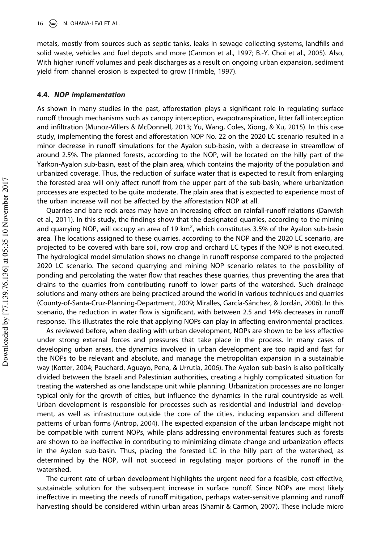metals, mostly from sources such as septic tanks, leaks in sewage collecting systems, landfills and solid waste, vehicles and fuel depots and more (Carmon et al., 1997; B.-Y. Choi et al., 2005). Also, With higher runoff volumes and peak discharges as a result on ongoing urban expansion, sediment yield from channel erosion is expected to grow (Trimble, 1997).

#### 4.4. NOP implementation

As shown in many studies in the past, afforestation plays a significant role in regulating surface runoff through mechanisms such as canopy interception, evapotranspiration, litter fall interception and infiltration (Munoz-Villers & McDonnell, 2013; Yu, Wang, Coles, Xiong, & Xu, 2015). In this case study, implementing the forest and afforestation NOP No. 22 on the 2020 LC scenario resulted in a minor decrease in runoff simulations for the Ayalon sub-basin, with a decrease in streamflow of around 2.5%. The planned forests, according to the NOP, will be located on the hilly part of the Yarkon-Ayalon sub-basin, east of the plain area, which contains the majority of the population and urbanized coverage. Thus, the reduction of surface water that is expected to result from enlarging the forested area will only affect runoff from the upper part of the sub-basin, where urbanization processes are expected to be quite moderate. The plain area that is expected to experience most of the urban increase will not be affected by the afforestation NOP at all.

Quarries and bare rock areas may have an increasing effect on rainfall-runoff relations (Darwish et al., 2011). In this study, the findings show that the designated quarries, according to the mining and quarrying NOP, will occupy an area of 19 km<sup>2</sup>, which constitutes 3.5% of the Ayalon sub-basin area. The locations assigned to these quarries, according to the NOP and the 2020 LC scenario, are projected to be covered with bare soil, row crop and orchard LC types if the NOP is not executed. The hydrological model simulation shows no change in runoff response compared to the projected 2020 LC scenario. The second quarrying and mining NOP scenario relates to the possibility of ponding and percolating the water flow that reaches these quarries, thus preventing the area that drains to the quarries from contributing runoff to lower parts of the watershed. Such drainage solutions and many others are being practiced around the world in various techniques and quarries (County-of-Santa-Cruz-Planning-Department, 2009; Miralles, García-Sánchez, & Jordán, 2006). In this scenario, the reduction in water flow is significant, with between 2.5 and 14% decreases in runoff response. This illustrates the role that applying NOPs can play in affecting environmental practices.

As reviewed before, when dealing with urban development, NOPs are shown to be less effective under strong external forces and pressures that take place in the process. In many cases of developing urban areas, the dynamics involved in urban development are too rapid and fast for the NOPs to be relevant and absolute, and manage the metropolitan expansion in a sustainable way (Kotter, 2004; Pauchard, Aguayo, Pena, & Urrutia, 2006). The Ayalon sub-basin is also politically divided between the Israeli and Palestinian authorities, creating a highly complicated situation for treating the watershed as one landscape unit while planning. Urbanization processes are no longer typical only for the growth of cities, but influence the dynamics in the rural countryside as well. Urban development is responsible for processes such as residential and industrial land development, as well as infrastructure outside the core of the cities, inducing expansion and different patterns of urban forms (Antrop, 2004). The expected expansion of the urban landscape might not be compatible with current NOPs, while plans addressing environmental features such as forests are shown to be ineffective in contributing to minimizing climate change and urbanization effects in the Ayalon sub-basin. Thus, placing the forested LC in the hilly part of the watershed, as determined by the NOP, will not succeed in regulating major portions of the runoff in the watershed.

The current rate of urban development highlights the urgent need for a feasible, cost-effective, sustainable solution for the subsequent increase in surface runoff. Since NOPs are most likely ineffective in meeting the needs of runoff mitigation, perhaps water-sensitive planning and runoff harvesting should be considered within urban areas (Shamir & Carmon, 2007). These include micro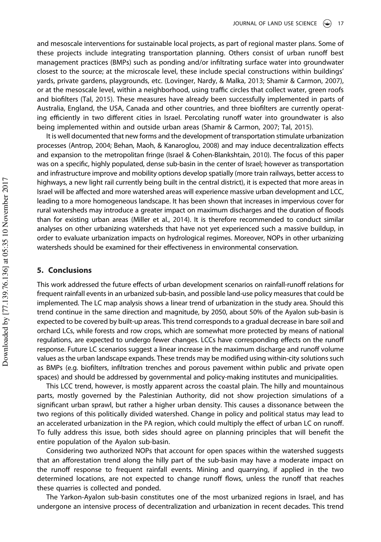and mesoscale interventions for sustainable local projects, as part of regional master plans. Some of these projects include integrating transportation planning. Others consist of urban runoff best management practices (BMPs) such as ponding and/or infiltrating surface water into groundwater closest to the source; at the microscale level, these include special constructions within buildings' yards, private gardens, playgrounds, etc. (Lovinger, Nardy, & Malka, 2013; Shamir & Carmon, 2007), or at the mesoscale level, within a neighborhood, using traffic circles that collect water, green roofs and biofilters (Tal, 2015). These measures have already been successfully implemented in parts of Australia, England, the USA, Canada and other countries, and three biofilters are currently operating efficiently in two different cities in Israel. Percolating runoff water into groundwater is also being implemented within and outside urban areas (Shamir & Carmon, 2007; Tal, 2015).

It is well documented that new forms and the development of transportation stimulate urbanization processes (Antrop, 2004; Behan, Maoh, & Kanaroglou, 2008) and may induce decentralization effects and expansion to the metropolitan fringe (Israel & Cohen-Blankshtain, 2010). The focus of this paper was on a specific, highly populated, dense sub-basin in the center of Israel; however as transportation and infrastructure improve and mobility options develop spatially (more train railways, better access to highways, a new light rail currently being built in the central district), it is expected that more areas in Israel will be affected and more watershed areas will experience massive urban development and LCC, leading to a more homogeneous landscape. It has been shown that increases in impervious cover for rural watersheds may introduce a greater impact on maximum discharges and the duration of floods than for existing urban areas (Miller et al., 2014). It is therefore recommended to conduct similar analyses on other urbanizing watersheds that have not yet experienced such a massive buildup, in order to evaluate urbanization impacts on hydrological regimes. Moreover, NOPs in other urbanizing watersheds should be examined for their effectiveness in environmental conservation.

## 5. Conclusions

This work addressed the future effects of urban development scenarios on rainfall-runoff relations for frequent rainfall events in an urbanized sub-basin, and possible land-use policy measures that could be implemented. The LC map analysis shows a linear trend of urbanization in the study area. Should this trend continue in the same direction and magnitude, by 2050, about 50% of the Ayalon sub-basin is expected to be covered by built-up areas. This trend corresponds to a gradual decrease in bare soil and orchard LCs, while forests and row crops, which are somewhat more protected by means of national regulations, are expected to undergo fewer changes. LCCs have corresponding effects on the runoff response. Future LC scenarios suggest a linear increase in the maximum discharge and runoff volume values as the urban landscape expands. These trends may be modified using within-city solutions such as BMPs (e.g. biofilters, infiltration trenches and porous pavement within public and private open spaces) and should be addressed by governmental and policy-making institutes and municipalities.

This LCC trend, however, is mostly apparent across the coastal plain. The hilly and mountainous parts, mostly governed by the Palestinian Authority, did not show projection simulations of a significant urban sprawl, but rather a higher urban density. This causes a dissonance between the two regions of this politically divided watershed. Change in policy and political status may lead to an accelerated urbanization in the PA region, which could multiply the effect of urban LC on runoff. To fully address this issue, both sides should agree on planning principles that will benefit the entire population of the Ayalon sub-basin.

Considering two authorized NOPs that account for open spaces within the watershed suggests that an afforestation trend along the hilly part of the sub-basin may have a moderate impact on the runoff response to frequent rainfall events. Mining and quarrying, if applied in the two determined locations, are not expected to change runoff flows, unless the runoff that reaches these quarries is collected and ponded.

The Yarkon-Ayalon sub-basin constitutes one of the most urbanized regions in Israel, and has undergone an intensive process of decentralization and urbanization in recent decades. This trend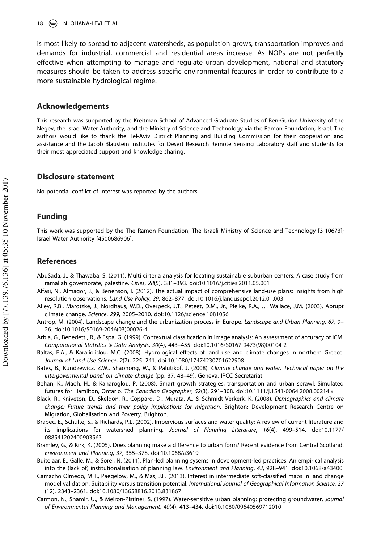is most likely to spread to adjacent watersheds, as population grows, transportation improves and demands for industrial, commercial and residential areas increase. As NOPs are not perfectly effective when attempting to manage and regulate urban development, national and statutory measures should be taken to address specific environmental features in order to contribute to a more sustainable hydrological regime.

### Acknowledgements

This research was supported by the Kreitman School of Advanced Graduate Studies of Ben-Gurion University of the Negev, the Israel Water Authority, and the Ministry of Science and Technology via the Ramon Foundation, Israel. The authors would like to thank the Tel-Aviv District Planning and Building Commission for their cooperation and assistance and the Jacob Blaustein Institutes for Desert Research Remote Sensing Laboratory staff and students for their most appreciated support and knowledge sharing.

### Disclosure statement

No potential conflict of interest was reported by the authors.

## Funding

This work was supported by the The Ramon Foundation, The Israeli Ministry of Science and Technology [3-10673]; Israel Water Authority [4500686906].

### References

- AbuSada, J., & Thawaba, S. (2011). Multi cirteria analysis for locating sustainable suburban centers: A case study from ramallah governorate, palestine. *Cities*, *28*(5), 381–393. doi:10.1016/j.cities.2011.05.001
- Alfasi, N., Almagor, J., & Benenson, I. (2012). The actual impact of comprehensive land-use plans: Insights from high resolution observations. *Land Use Policy*, *29*, 862–877. doi:10.1016/j.landusepol.2012.01.003
- Alley, R.B., Marotzke, J., Nordhaus, W.D., Overpeck, J.T., Peteet, D.M., Jr., Pielke, R.A., . . . Wallace, J.M. (2003). Abrupt climate change. *Science*, *299*, 2005–2010. doi:10.1126/science.1081056
- Antrop, M. (2004). Landscape change and the urbanization process in Europe. *Landscape and Urban Planning*, *67*, 9– 26. doi:10.1016/S0169-2046(03)00026-4
- Arbia, G., Benedetti, R., & Espa, G. (1999). Contextual classification in image analysis: An assessment of accuracy of ICM. *Computational Statistics & Data Analysis*, *30*(4), 443–455. doi:10.1016/S0167-9473(98)00104-2
- Baltas, E.A., & Karaliolidou, M.C. (2008). Hydrological effects of land use and climate changes in northern Greece. *Journal of Land Use Science*, *2*(7), 225–241. doi:10.1080/17474230701622908
- Bates, B., Kundzewicz, Z.W., Shaohong, W., & Palutikof, J. (2008). *Climate change and water. Technical paper on the intergovermental panel on climate change* (pp. 37, 48–49). Geneva: IPCC Secretariat.
- Behan, K., Maoh, H., & Kanaroglou, P. (2008). Smart growth strategies, transportation and urban sprawl: Simulated futures for Hamilton, Ontario. *The Canadian Geographer*, *52*(3), 291–308. doi:10.1111/j.1541-0064.2008.00214.x
- Black, R., Kniveton, D., Skeldon, R., Coppard, D., Murata, A., & Schmidt-Verkerk, K. (2008). *Demographics and climate change: Future trends and their policy implications for migration*. Brighton: Development Research Centre on Migration, Globalisation and Poverty. Brighton.
- Brabec, E., Schulte, S., & Richards, P.L. (2002). Impervious surfaces and water quality: A review of current literature and its implications for watershed planning. *Journal of Planning Literature*, *16*(4), 499–514. doi:10.1177/ 088541202400903563
- Bramley, G., & Kirk, K. (2005). Does planning make a difference to urban form? Recent evidence from Central Scotland. *Environment and Planning*, *37*, 355–378. doi:10.1068/a3619
- Buitelaar, E., Galle, M., & Sorel, N. (2011). Plan-led planning sysems in development-led practices: An empirical analysis into the (lack of) institutionalisation of planning law. *Environment and Planning*, *43*, 928–941. doi:10.1068/a43400
- Camacho Olmedo, M.T., Paegelow, M., & Mas, J.F. (2013). Interest in intermediate soft-classified maps in land change model validation: Suitability versus transition potential. *International Journal of Geographical Information Science*, *27* (12), 2343–2361. doi:10.1080/13658816.2013.831867
- Carmon, N., Shamir, U., & Meiron-Pistiner, S. (1997). Water-sensitive urban planning: protecting groundwater. *Journal of Environmental Planning and Management*, *40*(4), 413–434. doi:10.1080/09640569712010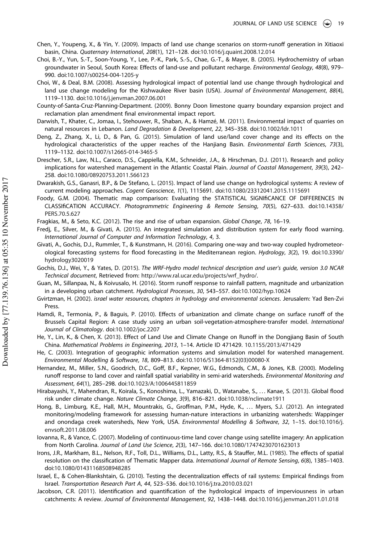- Chen, Y., Youpeng, X., & Yin, Y. (2009). Impacts of land use change scenarios on storm-runoff generation in Xitiaoxi basin, China. *Quaternary International*, *208*(1), 121–128. doi:10.1016/j.quaint.2008.12.014
- Choi, B.-Y., Yun, S.-T., Soon-Young, Y., Lee, P.-K., Park, S.-S., Chae, G.-T., & Mayer, B. (2005). Hydrochemistry of urban groundwater in Seoul, South Korea: Effects of land-use and pollutant recharge. *Environmental Geology*, *48*(8), 979– 990. doi:10.1007/s00254-004-1205-y
- Choi, W., & Deal, B.M. (2008). Assessing hydrological impact of potential land use change through hydrological and land use change modeling for the Kishwaukee River basin (USA). *Journal of Environmental Management*, *88*(4), 1119–1130. doi:10.1016/j.jenvman.2007.06.001
- County-of-Santa-Cruz-Planning-Department. (2009). Bonny Doon limestone quarry boundary expansion project and reclamation plan amendment final environmental impact report.
- Darwish, T., Khater, C., Jomaa, I., Stehouwer, R., Shaban, A., & Hamzé, M. (2011). Environmental impact of quarries on natural resources in Lebanon. *Land Degradation & Development*, *22*, 345–358. doi:10.1002/ldr.1011
- Deng, Z., Zhang, X., Li, D., & Pan, G. (2015). Simulation of land use/land cover change and its effects on the hydrological characteristics of the upper reaches of the Hanjiang Basin. *Environmental Earth Sciences*, *73*(3), 1119–1132. doi:10.1007/s12665-014-3465-5
- Drescher, S.R., Law, N.L., Caraco, D.S., Cappiella, K.M., Schneider, J.A., & Hirschman, D.J. (2011). Research and policy implications for watershed management in the Atlantic Coastal Plain. *Journal of Coastal Management*, *39*(3), 242– 258. doi:10.1080/08920753.2011.566123
- Dwarakish, G.S., Ganasri, B.P., & De Stefano, L. (2015). Impact of land use change on hydrological systems: A review of current modeling approaches. *Cogent Geoscience*, *1*(1), 1115691. doi:10.1080/23312041.2015.1115691
- Foody, G.M. (2004). Thematic map comparison: Evaluating the STATISTICAL SIGNIfiCANCE OF DIFFERENCES IN CLASSIfiCATION ACCURACY. *Photogrammetric Engineering & Remote Sensing*, *70*(5), 627–633. doi:10.14358/ PERS.70.5.627
- Fragkias, M., & Seto, K.C. (2012). The rise and rise of urban expansion. *Global Change*, *78*, 16–19.
- Fredj, E., Silver, M., & Givati, A. (2015). An integrated simulation and distribution system for early flood warning. *International Journal of Computer and Information Technology*, *4*, 3.
- Givati, A., Gochis, D.J., Rummler, T., & Kunstmann, H. (2016). Comparing one-way and two-way coupled hydrometeorological forecasting systems for flood forecasting in the Mediterranean region. *Hydrology*, *3*(2), 19. doi:10.3390/ hydrology3020019
- Gochis, D.J., Wei, Y., & Yates, D. (2015). *The WRF-Hydro model technical description and user*'*s guide, version 3.0 NCAR Technical document*, Retrieved from: http://www.ral.ucar.edu/projects/wrf\_hydro/.
- Guan, M., Sillanpaa, N., & Koivusalo, H. (2016). Storm runoff response to rainfall pattern, magnitude and urbanization in a developing urban catchment. *Hydrological Processes*, *30*, 543–557. doi:10.1002/hyp.10624
- Gvirtzman, H. (2002). *israel water resources, chapters in hydrology and environmental sciences*. Jerusalem: Yad Ben-Zvi Press.
- Hamdi, R., Termonia, P., & Baguis, P. (2010). Effects of urbanization and climate change on surface runoff of the Brussels Capital Region: A case study using an urban soil-vegetation-atmosphere-transfer model. *International Journal of Climatology*. doi:10.1002/joc.2207
- He, Y., Lin, K., & Chen, X. (2013). Effect of Land Use and Climate Change on Runoff in the Dongjiang Basin of South China. *Mathematical Problems in Engineering*, *2013*, 1–14. Article ID 471429. 10.1155/2013/471429
- He, C. (2003). Integration of geographic information systems and simulation model for watershed management. *Environmental Modelling & Software*, *18*, 809–813. doi:10.1016/S1364-8152(03)00080-X
- Hernandez, M., Miller, S.N., Goodrich, D.C., Goff, B.F., Kepner, W.G., Edmonds, C.M., & Jones, K.B. (2000). Modeling runoff response to land cover and rainfall spatial variability in semi-arid watersheds. *Environmental Monitoring and Assessment*, *64*(1), 285–298. doi:10.1023/A:1006445811859
- Hirabayashi, Y., Mahendran, R., Koirala, S., Konoshima, L., Yamazaki, D., Watanabe, S., . . . Kanae, S. (2013). Global flood risk under climate change. *Nature Climate Change*, *3*(9), 816–821. doi:10.1038/nclimate1911
- Hong, B., Limburg, K.E., Hall, M.H., Mountrakis, G., Groffman, P.M., Hyde, K., . . . Myers, S.J. (2012). An integrated monitoring/modeling framework for assessing human-nature interactions in urbanizing watersheds: Wappinger and onondaga creek watersheds, New York, USA. *Environmental Modelling & Software*, *32*, 1–15. doi:10.1016/j. envsoft.2011.08.006
- Iovanna, R., & Vance, C. (2007). Modeling of continuous-time land cover change using satellite imagery: An application from North Carolina. *Journal of Land Use Science*, *2*(3), 147–166. doi:10.1080/17474230701623013
- Irons, J.R., Markham, B.L., Nelson, R.F., Toll, D.L., Williams, D.L., Latty, R.S., & Stauffer, M.L. (1985). The effects of spatial resolution on the classification of Thematic Mapper data. *International Journal of Remote Sensing*, *6*(8), 1385–1403. doi:10.1080/01431168508948285
- Israel, E., & Cohen-Blankshtain, G. (2010). Testing the decentralization effects of rail systems: Empirical findings from Israel. *Transportation Research Part A*, *44*, 523–536. doi:10.1016/j.tra.2010.03.021
- Jacobson, C.R. (2011). Identification and quantification of the hydrological impacts of imperviousness in urban catchments: A review. *Journal of Environmental Management*, *92*, 1438–1448. doi:10.1016/j.jenvman.2011.01.018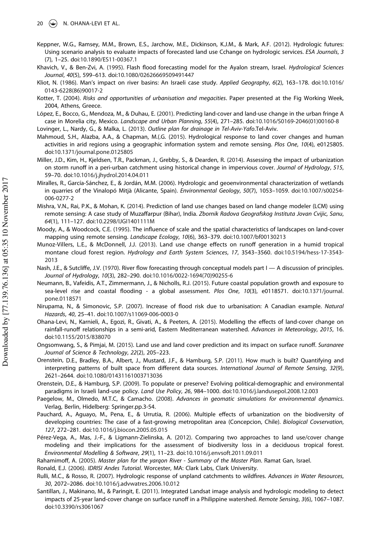- Keppner, W.G., Ramsey, M.M., Brown, E.S., Jarchow, M.E., Dickinson, K.J.M., & Mark, A.F. (2012). Hydrologic futures: Using scenario analysis to evaluate impacts of forecasted land use Cchange on hydrologic services. *ESA Journals*, *3* (7), 1–25. doi:10.1890/ES11-00367.1
- Khavich, V., & Ben-Zvi, A. (1995). Flash flood forecasting model for the Ayalon stream, Israel. *Hydrological Sciences Journal*, *40*(5), 599–613. doi:10.1080/02626669509491447
- Kliot, N. (1986). Man's impact on river basins: An Israeli case study. *Applied Geography*, *6*(2), 163–178. doi:10.1016/ 0143-6228(86)90017-2
- Kotter, T. (2004). *Risks and opportunities of urbanisation and megacities*. Paper presented at the Fig Working Week, 2004, Athens, Greece.
- López, E., Bocco, G., Mendoza, M., & Duhau, E. (2001). Predicting land-cover and land-use change in the urban fringe A case in Morelia city, Mexico. *Landscape and Urban Planning*, *55*(4), 271–285. doi:10.1016/S0169-2046(01)00160-8 Lovinger, L., Nardy, G., & Malka, L. (2013). *Outline plan for drainage in Tel-Aviv-Yafo*.Tel-Aviv.
- Mahmoud, S.H., Alazba, A.A., & Chapman, M.(.G. (2015). Hydrological response to land cover changes and human activities in arid regions using a geographic information system and remote sensing. *Plos One*, *10*(4), e0125805. doi:10.1371/journal.pone.0125805
- Miller, J.D., Kim, H., Kjeldsen, T.R., Packman, J., Grebby, S., & Dearden, R. (2014). Assessing the impact of urbanization on storm runoff in a peri-urban catchment using historical change in impervious cover. *Journal of Hydrology*, *515*, 59–70. doi:10.1016/j.jhydrol.2014.04.011
- Miralles, R., García-Sánchez, E., & Jordán, M.M. (2006). Hydrologic and geoenvironmental characterization of wetlands in quarries of the Vinalopó Mitjà (Alicante, Spain). *Environmental Geology*, *50*(7), 1053–1059. doi:10.1007/s00254- 006-0277-2
- Mishra, V.N., Rai, P.K., & Mohan, K. (2014). Prediction of land use changes based on land change modeler (LCM) using remote sensing: A case study of Muzaffarpur (Bihar), India. *Zbornik Radova Geografskog Instituta Jovan Cvijic, Sanu*, *64*(1), 111–127. doi:10.2298/IJGI1401111M
- Moody, A., & Woodcock, C.E. (1995). The influence of scale and the spatial characteristics of landscapes on land-cover mapping using remote sensing. *Landscape Ecology*, *10*(6), 363–379. doi:10.1007/bf00130213
- Munoz-Villers, L.E., & McDonnell, J.J. (2013). Land use change effects on runoff generation in a humid tropical montane cloud forest region. *Hydrology and Earth System Sciences*, *17*, 3543–3560. doi:10.5194/hess-17-3543- 2013
- Nash, J.E., & Sutcliffe, J.V. (1970). River flow forecasting through conceptual models part I A discussion of principles. *Journal of Hydrology*, *10*(3), 282–290. doi:10.1016/0022-1694(70)90255-6
- Neumann, B., Vafeidis, A.T., Zimmermann, J., & Nicholls, R.J. (2015). Future coastal population growth and exposure to sea-level rise and coastal flooding - a global assessment. *Plos One*, *10*(3), e0118571. doi:10.1371/journal. pone.0118571
- Nirupama, N., & Simonovic, S.P. (2007). Increase of flood risk due to urbanisation: A Canadian example. *Natural Hazards*, *40*, 25–41. doi:10.1007/s11069-006-0003-0
- Ohana-Levi, N., Karnieli, A., Egozi, R., Givati, A., & Peeters, A. (2015). Modelling the effects of land-cover change on rainfall-runoff relationships in a semi-arid, Eastern Mediterranean watershed. *Advances in Meteorology*, *2015*, 16. doi:10.1155/2015/838070
- Ongsomwang, S., & Pimjai, M. (2015). Land use and land cover prediction and its impact on surface runoff. *Suranaree Journal of Science & Technology*, *22*(2), 205–223.
- Orenstein, D.E., Bradley, B.A., Albert, J., Mustard, J.F., & Hamburg, S.P. (2011). How much is built? Quantifying and interpreting patterns of built space from different data sources. *International Journal of Remote Sensing*, *32*(9), 2621–2644. doi:10.1080/01431161003713036
- Orenstein, D.E., & Hamburg, S.P. (2009). To populate or preserve? Evolving political-demographic and environmental paradigms in Israeli land-use policy. *Land Use Policy*, *26*, 984–1000. doi:10.1016/j.landusepol.2008.12.003
- Paegelow, M., Olmedo, M.T.C, & Camacho. (2008). *Advances in geomatic simulations for environmental dynamics*. Verlag, Berlin, Hidelberg: Springer.pp.3-54.
- Pauchard, A., Aguayo, M., Pena, E., & Urrutia, R. (2006). Multiple effects of urbanization on the biodiversity of developing countries: The case of a fast-growing metropolitan area (Concepcion, Chile). *Biological Covservation*, *127*, 272–281. doi:10.1016/j.biocon.2005.05.015
- Pérez-Vega, A., Mas, J.-F., & Ligmann-Zielinska, A. (2012). Comparing two approaches to land use/cover change modeling and their implications for the assessment of biodiversity loss in a deciduous tropical forest. *Environmental Modelling & Software*, *29*(1), 11–23. doi:10.1016/j.envsoft.2011.09.011
- Rahamimoff, A. (2005). *Master plan for the yarqon River Summary of the Master Plan*. Ramat Gan, Israel.
- Ronald, E.J. (2006). *IDRISI Andes Tutorial*. Worcester, MA: Clark Labs, Clark University.
- Rulli, M.C., & Rosso, R. (2007). Hydrologic response of unpland catchments to wildfires. *Advances in Water Resources*, *30*, 2072–2086. doi:10.1016/j.advwatres.2006.10.012
- Santillan, J., Makinano, M., & Paringit, E. (2011). Integrated Landsat image analysis and hydrologic modeling to detect impacts of 25-year land-cover change on surface runoff in a Philippine watershed. *Remote Sensing*, *3*(6), 1067–1087. doi:10.3390/rs3061067